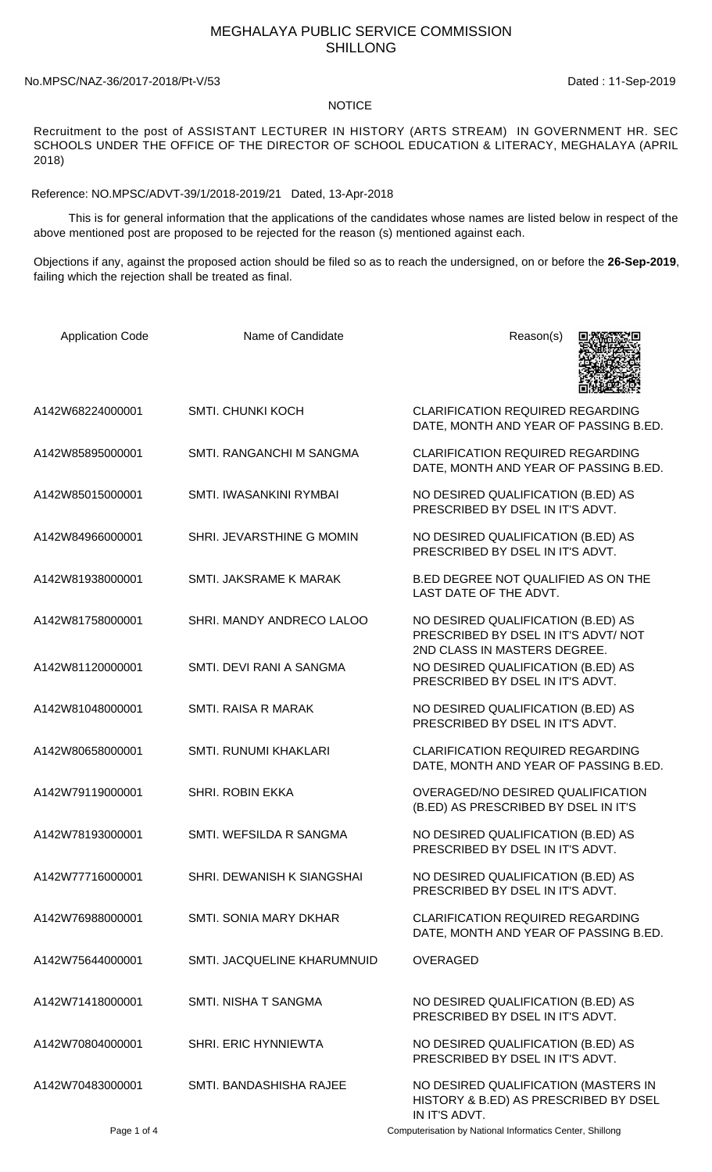## MEGHALAYA PUBLIC SERVICE COMMISSION SHILLONG

## No.MPSC/NAZ-36/2017-2018/Pt-V/53 Dated : 11-Sep-2019

## **NOTICE**

Recruitment to the post of ASSISTANT LECTURER IN HISTORY (ARTS STREAM) IN GOVERNMENT HR. SEC SCHOOLS UNDER THE OFFICE OF THE DIRECTOR OF SCHOOL EDUCATION & LITERACY, MEGHALAYA (APRIL 2018)

Reference: NO.MPSC/ADVT-39/1/2018-2019/21 Dated, 13-Apr-2018

 This is for general information that the applications of the candidates whose names are listed below in respect of the above mentioned post are proposed to be rejected for the reason (s) mentioned against each.

Objections if any, against the proposed action should be filed so as to reach the undersigned, on or before the **26-Sep-2019**, failing which the rejection shall be treated as final.

| <b>Application Code</b> | Name of Candidate            | Reason(s)                                                                                                 |
|-------------------------|------------------------------|-----------------------------------------------------------------------------------------------------------|
| A142W68224000001        | <b>SMTI. CHUNKI KOCH</b>     | <b>CLARIFICATION REQUIRED REGARDING</b><br>DATE, MONTH AND YEAR OF PASSING B.ED.                          |
| A142W85895000001        | SMTI. RANGANCHI M SANGMA     | <b>CLARIFICATION REQUIRED REGARDING</b><br>DATE, MONTH AND YEAR OF PASSING B.ED.                          |
| A142W85015000001        | SMTI. IWASANKINI RYMBAI      | NO DESIRED QUALIFICATION (B.ED) AS<br>PRESCRIBED BY DSEL IN IT'S ADVT.                                    |
| A142W84966000001        | SHRI. JEVARSTHINE G MOMIN    | NO DESIRED QUALIFICATION (B.ED) AS<br>PRESCRIBED BY DSEL IN IT'S ADVT.                                    |
| A142W81938000001        | SMTI. JAKSRAME K MARAK       | B.ED DEGREE NOT QUALIFIED AS ON THE<br>LAST DATE OF THE ADVT.                                             |
| A142W81758000001        | SHRI. MANDY ANDRECO LALOO    | NO DESIRED QUALIFICATION (B.ED) AS<br>PRESCRIBED BY DSEL IN IT'S ADVT/NOT<br>2ND CLASS IN MASTERS DEGREE. |
| A142W81120000001        | SMTI, DEVI RANI A SANGMA     | NO DESIRED QUALIFICATION (B.ED) AS<br>PRESCRIBED BY DSEL IN IT'S ADVT.                                    |
| A142W81048000001        | <b>SMTI. RAISA R MARAK</b>   | NO DESIRED QUALIFICATION (B.ED) AS<br>PRESCRIBED BY DSEL IN IT'S ADVT.                                    |
| A142W80658000001        | <b>SMTI. RUNUMI KHAKLARI</b> | <b>CLARIFICATION REQUIRED REGARDING</b><br>DATE, MONTH AND YEAR OF PASSING B.ED.                          |
| A142W79119000001        | <b>SHRI. ROBIN EKKA</b>      | OVERAGED/NO DESIRED QUALIFICATION<br>(B.ED) AS PRESCRIBED BY DSEL IN IT'S                                 |
| A142W78193000001        | SMTI. WEFSILDA R SANGMA      | NO DESIRED QUALIFICATION (B.ED) AS<br>PRESCRIBED BY DSEL IN IT'S ADVT.                                    |
| A142W77716000001        | SHRI. DEWANISH K SIANGSHAI   | NO DESIRED QUALIFICATION (B.ED) AS<br>PRESCRIBED BY DSEL IN IT'S ADVT.                                    |
| A142W76988000001        | SMTI. SONIA MARY DKHAR       | <b>CLARIFICATION REQUIRED REGARDING</b><br>DATE, MONTH AND YEAR OF PASSING B.ED.                          |
| A142W75644000001        | SMTI. JACQUELINE KHARUMNUID  | <b>OVERAGED</b>                                                                                           |
| A142W71418000001        | SMTI. NISHA T SANGMA         | NO DESIRED QUALIFICATION (B.ED) AS<br>PRESCRIBED BY DSEL IN IT'S ADVT.                                    |
| A142W70804000001        | <b>SHRI. ERIC HYNNIEWTA</b>  | NO DESIRED QUALIFICATION (B.ED) AS<br>PRESCRIBED BY DSEL IN IT'S ADVT.                                    |
| A142W70483000001        | SMTI. BANDASHISHA RAJEE      | NO DESIRED QUALIFICATION (MASTERS IN<br>HISTORY & B.ED) AS PRESCRIBED BY DSEL<br>IN IT'S ADVT.            |

Page 1 of 4 Computerisation by National Informatics Center, Shillong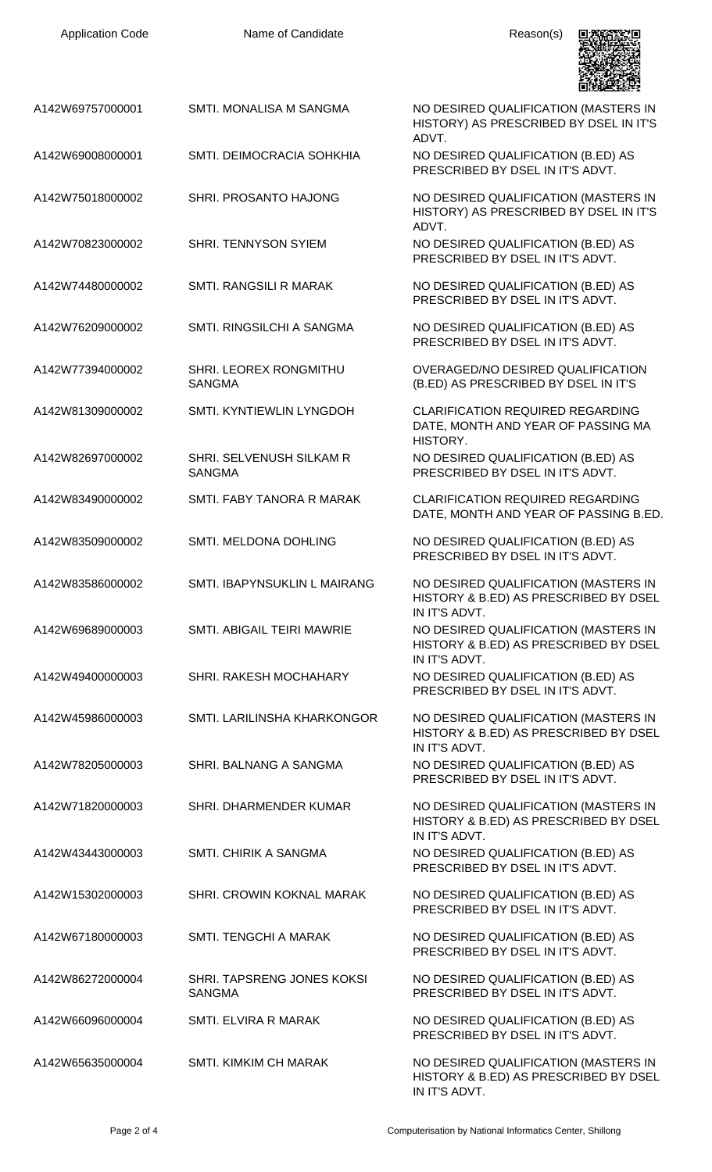| A142W69757000001 | SMTI. MONALISA M SANGMA                     | NO DESIRED QUALIFICATION (MASTERS IN<br>HISTORY) AS PRESCRIBED BY DSEL IN IT'S<br>ADVT.        |
|------------------|---------------------------------------------|------------------------------------------------------------------------------------------------|
| A142W69008000001 | SMTI. DEIMOCRACIA SOHKHIA                   | NO DESIRED QUALIFICATION (B.ED) AS<br>PRESCRIBED BY DSEL IN IT'S ADVT.                         |
| A142W75018000002 | SHRI. PROSANTO HAJONG                       | NO DESIRED QUALIFICATION (MASTERS IN<br>HISTORY) AS PRESCRIBED BY DSEL IN IT'S<br>ADVT.        |
| A142W70823000002 | <b>SHRI. TENNYSON SYIEM</b>                 | NO DESIRED QUALIFICATION (B.ED) AS<br>PRESCRIBED BY DSEL IN IT'S ADVT.                         |
| A142W74480000002 | SMTI. RANGSILI R MARAK                      | NO DESIRED QUALIFICATION (B.ED) AS<br>PRESCRIBED BY DSEL IN IT'S ADVT.                         |
| A142W76209000002 | SMTI. RINGSILCHI A SANGMA                   | NO DESIRED QUALIFICATION (B.ED) AS<br>PRESCRIBED BY DSEL IN IT'S ADVT.                         |
| A142W77394000002 | SHRI. LEOREX RONGMITHU<br><b>SANGMA</b>     | OVERAGED/NO DESIRED QUALIFICATION<br>(B.ED) AS PRESCRIBED BY DSEL IN IT'S                      |
| A142W81309000002 | SMTI. KYNTIEWLIN LYNGDOH                    | <b>CLARIFICATION REQUIRED REGARDING</b><br>DATE, MONTH AND YEAR OF PASSING MA<br>HISTORY.      |
| A142W82697000002 | SHRI. SELVENUSH SILKAM R<br><b>SANGMA</b>   | NO DESIRED QUALIFICATION (B.ED) AS<br>PRESCRIBED BY DSEL IN IT'S ADVT.                         |
| A142W83490000002 | SMTI. FABY TANORA R MARAK                   | <b>CLARIFICATION REQUIRED REGARDING</b><br>DATE, MONTH AND YEAR OF PASSING B.ED.               |
| A142W83509000002 | SMTI. MELDONA DOHLING                       | NO DESIRED QUALIFICATION (B.ED) AS<br>PRESCRIBED BY DSEL IN IT'S ADVT.                         |
| A142W83586000002 | SMTI. IBAPYNSUKLIN L MAIRANG                | NO DESIRED QUALIFICATION (MASTERS IN<br>HISTORY & B.ED) AS PRESCRIBED BY DSEL<br>IN IT'S ADVT. |
| A142W69689000003 | SMTI. ABIGAIL TEIRI MAWRIE                  | NO DESIRED QUALIFICATION (MASTERS IN<br>HISTORY & B.ED) AS PRESCRIBED BY DSEL<br>IN IT'S ADVT. |
| A142W49400000003 | SHRI. RAKESH MOCHAHARY                      | NO DESIRED QUALIFICATION (B.ED) AS<br>PRESCRIBED BY DSEL IN IT'S ADVT.                         |
| A142W45986000003 | SMTI. LARILINSHA KHARKONGOR                 | NO DESIRED QUALIFICATION (MASTERS IN<br>HISTORY & B.ED) AS PRESCRIBED BY DSEL<br>IN IT'S ADVT. |
| A142W78205000003 | SHRI. BALNANG A SANGMA                      | NO DESIRED QUALIFICATION (B.ED) AS<br>PRESCRIBED BY DSEL IN IT'S ADVT.                         |
| A142W71820000003 | SHRI. DHARMENDER KUMAR                      | NO DESIRED QUALIFICATION (MASTERS IN<br>HISTORY & B.ED) AS PRESCRIBED BY DSEL<br>IN IT'S ADVT. |
| A142W43443000003 | <b>SMTI. CHIRIK A SANGMA</b>                | NO DESIRED QUALIFICATION (B.ED) AS<br>PRESCRIBED BY DSEL IN IT'S ADVT.                         |
| A142W15302000003 | SHRI. CROWIN KOKNAL MARAK                   | NO DESIRED QUALIFICATION (B.ED) AS<br>PRESCRIBED BY DSEL IN IT'S ADVT.                         |
| A142W67180000003 | SMTI. TENGCHI A MARAK                       | NO DESIRED QUALIFICATION (B.ED) AS<br>PRESCRIBED BY DSEL IN IT'S ADVT.                         |
| A142W86272000004 | SHRI. TAPSRENG JONES KOKSI<br><b>SANGMA</b> | NO DESIRED QUALIFICATION (B.ED) AS<br>PRESCRIBED BY DSEL IN IT'S ADVT.                         |
| A142W66096000004 | SMTI. ELVIRA R MARAK                        | NO DESIRED QUALIFICATION (B.ED) AS<br>PRESCRIBED BY DSEL IN IT'S ADVT.                         |
| A142W65635000004 | <b>SMTI. KIMKIM CH MARAK</b>                | NO DESIRED QUALIFICATION (MASTERS IN<br>HISTORY & B.ED) AS PRESCRIBED BY DSEL                  |

Application Code **Name of Candidate Name of Candidate** Reason(s)

**只数确实** 

IN IT'S ADVT.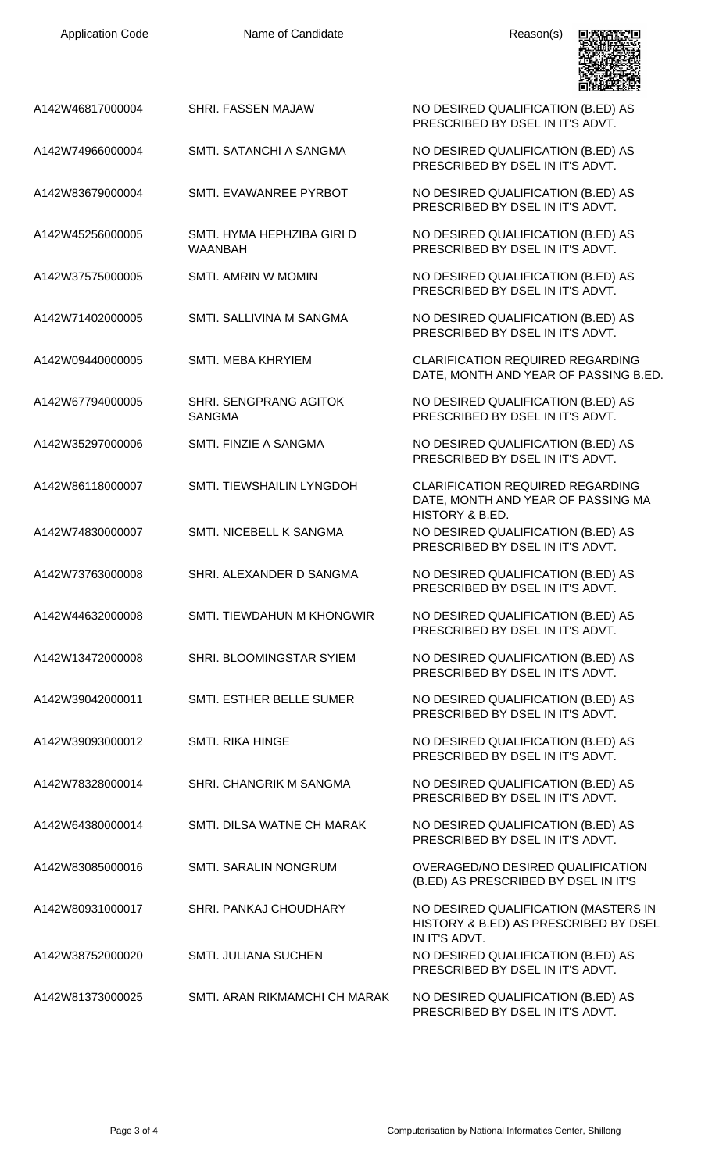| <b>Application Code</b> | Name of Candidate                            | Reason(s)                                                                                        |
|-------------------------|----------------------------------------------|--------------------------------------------------------------------------------------------------|
| A142W46817000004        | SHRI. FASSEN MAJAW                           | NO DESIRED QUALIFICATION (B.ED) AS<br>PRESCRIBED BY DSEL IN IT'S ADVT.                           |
| A142W74966000004        | SMTI, SATANCHI A SANGMA                      | NO DESIRED QUALIFICATION (B.ED) AS<br>PRESCRIBED BY DSEL IN IT'S ADVT.                           |
| A142W83679000004        | SMTI. EVAWANREE PYRBOT                       | NO DESIRED QUALIFICATION (B.ED) AS<br>PRESCRIBED BY DSEL IN IT'S ADVT.                           |
| A142W45256000005        | SMTI. HYMA HEPHZIBA GIRI D<br><b>WAANBAH</b> | NO DESIRED QUALIFICATION (B.ED) AS<br>PRESCRIBED BY DSEL IN IT'S ADVT.                           |
| A142W37575000005        | SMTI. AMRIN W MOMIN                          | NO DESIRED QUALIFICATION (B.ED) AS<br>PRESCRIBED BY DSEL IN IT'S ADVT.                           |
| A142W71402000005        | SMTI. SALLIVINA M SANGMA                     | NO DESIRED QUALIFICATION (B.ED) AS<br>PRESCRIBED BY DSEL IN IT'S ADVT.                           |
| A142W09440000005        | SMTI. MEBA KHRYIEM                           | <b>CLARIFICATION REQUIRED REGARDING</b><br>DATE, MONTH AND YEAR OF PASSING B.ED.                 |
| A142W67794000005        | SHRI. SENGPRANG AGITOK<br><b>SANGMA</b>      | NO DESIRED QUALIFICATION (B.ED) AS<br>PRESCRIBED BY DSEL IN IT'S ADVT.                           |
| A142W35297000006        | SMTI. FINZIE A SANGMA                        | NO DESIRED QUALIFICATION (B.ED) AS<br>PRESCRIBED BY DSEL IN IT'S ADVT.                           |
| A142W86118000007        | SMTI. TIEWSHAILIN LYNGDOH                    | <b>CLARIFICATION REQUIRED REGARDING</b><br>DATE, MONTH AND YEAR OF PASSING MA<br>HISTORY & B.ED. |
| A142W74830000007        | SMTI. NICEBELL K SANGMA                      | NO DESIRED QUALIFICATION (B.ED) AS<br>PRESCRIBED BY DSEL IN IT'S ADVT                            |
| A142W73763000008        | SHRI. ALEXANDER D SANGMA                     | NO DESIRED QUALIFICATION (B.ED) AS<br>PRESCRIBED BY DSEL IN IT'S ADVT.                           |
| A142W44632000008        | <b>SMTI. TIEWDAHUN M KHONGWIR</b>            | NO DESIRED QUALIFICATION (B.ED) AS<br>PRESCRIBED BY DSEL IN IT'S ADVT.                           |
| A142W13472000008        | SHRI. BLOOMINGSTAR SYIEM                     | NO DESIRED QUALIFICATION (B.ED) AS<br>PRESCRIBED BY DSEL IN IT'S ADVT.                           |
| A142W39042000011        | SMTI. ESTHER BELLE SUMER                     | NO DESIRED QUALIFICATION (B.ED) AS<br>PRESCRIBED BY DSEL IN IT'S ADVT.                           |
| A142W39093000012        | <b>SMTI. RIKA HINGE</b>                      | NO DESIRED QUALIFICATION (B.ED) AS<br>PRESCRIBED BY DSEL IN IT'S ADVT.                           |
| A142W78328000014        | SHRI. CHANGRIK M SANGMA                      | NO DESIRED QUALIFICATION (B.ED) AS<br>PRESCRIBED BY DSEL IN IT'S ADVT.                           |
| A142W64380000014        | SMTI. DILSA WATNE CH MARAK                   | NO DESIRED QUALIFICATION (B.ED) AS<br>PRESCRIBED BY DSEL IN IT'S ADVT.                           |
| A142W83085000016        | SMTI. SARALIN NONGRUM                        | OVERAGED/NO DESIRED QUALIFICATION<br>(B.ED) AS PRESCRIBED BY DSEL IN IT'S                        |
| A142W80931000017        | SHRI. PANKAJ CHOUDHARY                       | NO DESIRED QUALIFICATION (MASTERS IN<br>HISTORY & B.ED) AS PRESCRIBED BY DSEL<br>IN IT'S ADVT.   |
| A142W38752000020        | <b>SMTI. JULIANA SUCHEN</b>                  | NO DESIRED QUALIFICATION (B.ED) AS<br>PRESCRIBED BY DSEL IN IT'S ADVT.                           |
| A142W81373000025        | SMTI. ARAN RIKMAMCHI CH MARAK                | NO DESIRED QUALIFICATION (B.ED) AS<br>PRESCRIBED BY DSEL IN IT'S ADVT.                           |

Application Code **Name of Candidate** Application Code Reason(s)